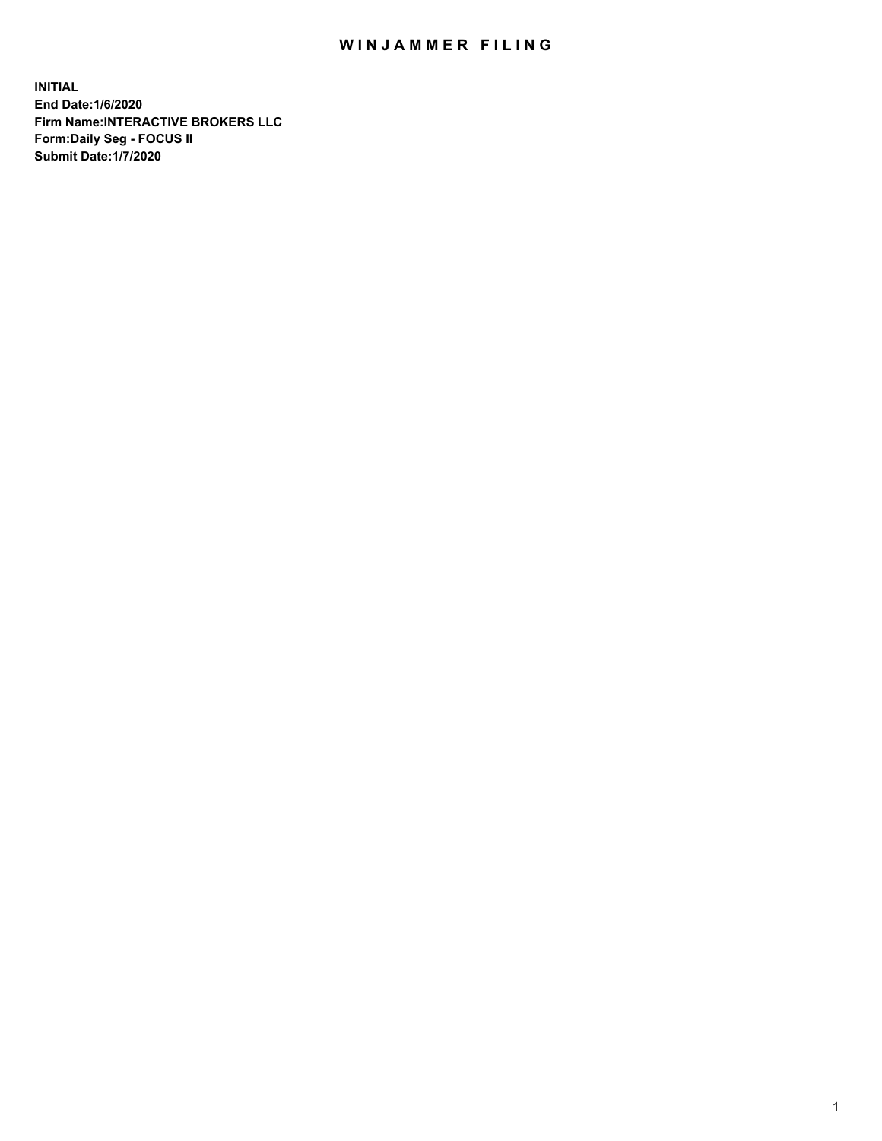## WIN JAMMER FILING

**INITIAL End Date:1/6/2020 Firm Name:INTERACTIVE BROKERS LLC Form:Daily Seg - FOCUS II Submit Date:1/7/2020**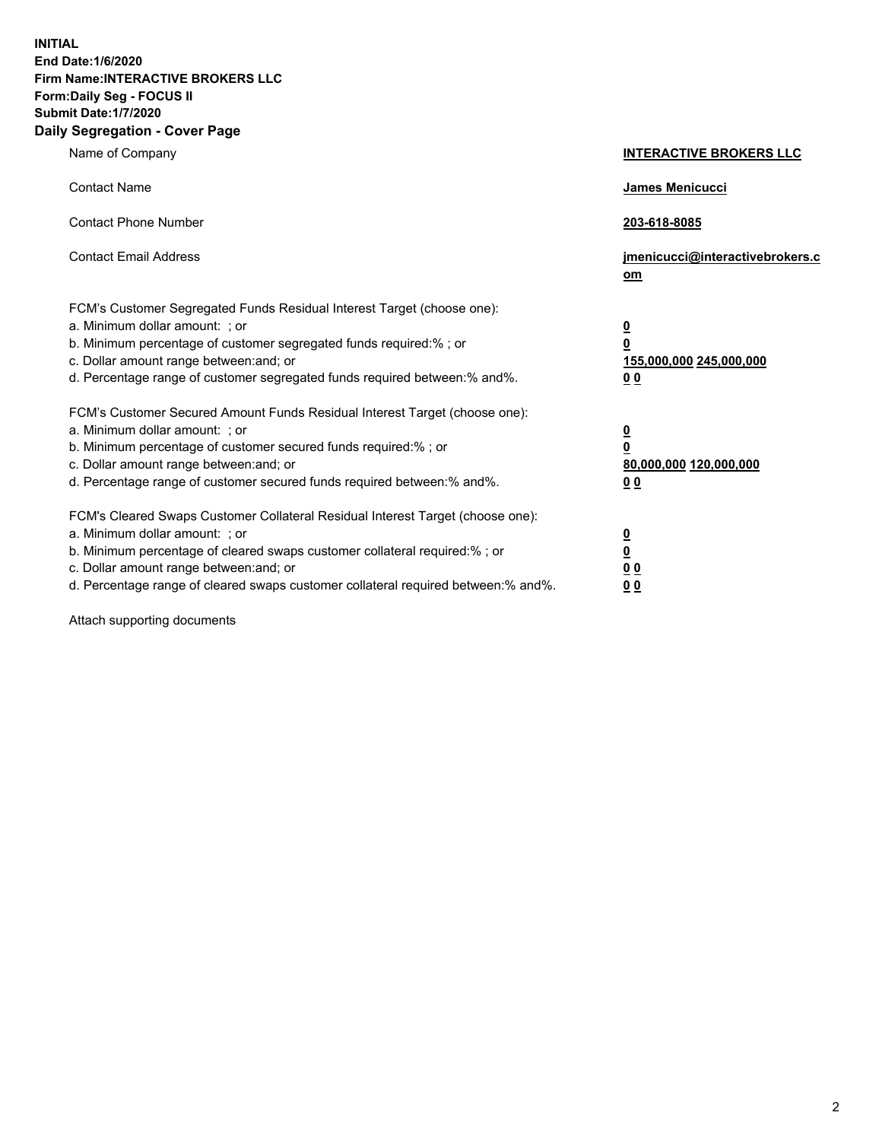**INITIAL End Date:1/6/2020 Firm Name:INTERACTIVE BROKERS LLC Form:Daily Seg - FOCUS II Submit Date:1/7/2020 Daily Segregation - Cover Page**

| Name of Company                                                                                                                                                                                                                                                                                                                | <b>INTERACTIVE BROKERS LLC</b>                                                                 |
|--------------------------------------------------------------------------------------------------------------------------------------------------------------------------------------------------------------------------------------------------------------------------------------------------------------------------------|------------------------------------------------------------------------------------------------|
| <b>Contact Name</b>                                                                                                                                                                                                                                                                                                            | James Menicucci                                                                                |
| <b>Contact Phone Number</b>                                                                                                                                                                                                                                                                                                    | 203-618-8085                                                                                   |
| <b>Contact Email Address</b>                                                                                                                                                                                                                                                                                                   | jmenicucci@interactivebrokers.c<br>om                                                          |
| FCM's Customer Segregated Funds Residual Interest Target (choose one):<br>a. Minimum dollar amount: ; or<br>b. Minimum percentage of customer segregated funds required:% ; or<br>c. Dollar amount range between: and; or<br>d. Percentage range of customer segregated funds required between:% and%.                         | $\overline{\mathbf{0}}$<br>$\overline{\mathbf{0}}$<br>155,000,000 245,000,000<br>00            |
| FCM's Customer Secured Amount Funds Residual Interest Target (choose one):<br>a. Minimum dollar amount: ; or<br>b. Minimum percentage of customer secured funds required:%; or<br>c. Dollar amount range between: and; or<br>d. Percentage range of customer secured funds required between:% and%.                            | $\overline{\mathbf{0}}$<br>$\overline{\mathbf{0}}$<br>80,000,000 120,000,000<br>0 <sub>0</sub> |
| FCM's Cleared Swaps Customer Collateral Residual Interest Target (choose one):<br>a. Minimum dollar amount: ; or<br>b. Minimum percentage of cleared swaps customer collateral required:% ; or<br>c. Dollar amount range between: and; or<br>d. Percentage range of cleared swaps customer collateral required between:% and%. | $\overline{\mathbf{0}}$<br>$\underline{\mathbf{0}}$<br>0 <sub>0</sub><br>0 <sub>0</sub>        |

Attach supporting documents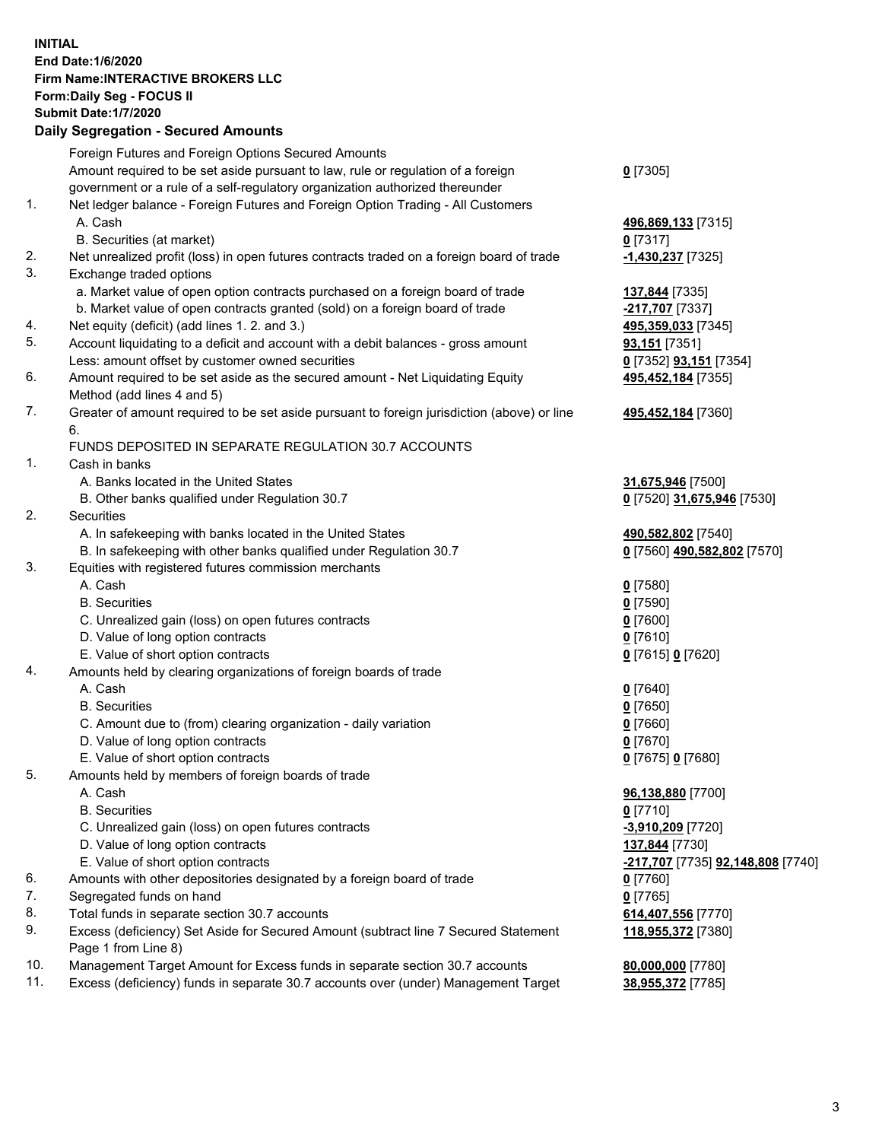**INITIAL End Date:1/6/2020 Firm Name:INTERACTIVE BROKERS LLC Form:Daily Seg - FOCUS II Submit Date:1/7/2020 Daily Segregation - Secured Amounts**

|     | Foreign Futures and Foreign Options Secured Amounts                                         |                                   |
|-----|---------------------------------------------------------------------------------------------|-----------------------------------|
|     | Amount required to be set aside pursuant to law, rule or regulation of a foreign            | $0$ [7305]                        |
|     | government or a rule of a self-regulatory organization authorized thereunder                |                                   |
| 1.  | Net ledger balance - Foreign Futures and Foreign Option Trading - All Customers             |                                   |
|     | A. Cash                                                                                     | 496,869,133 [7315]                |
|     | B. Securities (at market)                                                                   | 0 [7317]                          |
| 2.  | Net unrealized profit (loss) in open futures contracts traded on a foreign board of trade   | <u>-1,430,237</u> [7325]          |
| 3.  | Exchange traded options                                                                     |                                   |
|     | a. Market value of open option contracts purchased on a foreign board of trade              | 137,844 [7335]                    |
|     | b. Market value of open contracts granted (sold) on a foreign board of trade                | -217,707 [7337]                   |
| 4.  | Net equity (deficit) (add lines 1.2. and 3.)                                                | 495,359,033 [7345]                |
| 5.  | Account liquidating to a deficit and account with a debit balances - gross amount           | 93,151 [7351]                     |
|     | Less: amount offset by customer owned securities                                            | 0 [7352] <b>93,151</b> [7354]     |
| 6.  | Amount required to be set aside as the secured amount - Net Liquidating Equity              | 495,452,184 [7355]                |
|     | Method (add lines 4 and 5)                                                                  |                                   |
| 7.  | Greater of amount required to be set aside pursuant to foreign jurisdiction (above) or line | 495,452,184 [7360]                |
|     | 6.                                                                                          |                                   |
|     | FUNDS DEPOSITED IN SEPARATE REGULATION 30.7 ACCOUNTS                                        |                                   |
| 1.  | Cash in banks                                                                               |                                   |
|     | A. Banks located in the United States                                                       | 31,675,946 [7500]                 |
|     | B. Other banks qualified under Regulation 30.7                                              | 0 [7520] 31,675,946 [7530]        |
| 2.  | Securities                                                                                  |                                   |
|     | A. In safekeeping with banks located in the United States                                   | 490,582,802 [7540]                |
|     | B. In safekeeping with other banks qualified under Regulation 30.7                          | 0 [7560] 490,582,802 [7570]       |
| 3.  | Equities with registered futures commission merchants                                       |                                   |
|     | A. Cash                                                                                     | $0$ [7580]                        |
|     | <b>B.</b> Securities                                                                        | $0$ [7590]                        |
|     | C. Unrealized gain (loss) on open futures contracts                                         | $0$ [7600]                        |
|     | D. Value of long option contracts                                                           | $0$ [7610]                        |
|     | E. Value of short option contracts                                                          | 0 [7615] 0 [7620]                 |
| 4.  | Amounts held by clearing organizations of foreign boards of trade                           |                                   |
|     | A. Cash                                                                                     | $0$ [7640]                        |
|     | <b>B.</b> Securities                                                                        | $0$ [7650]                        |
|     | C. Amount due to (from) clearing organization - daily variation                             | $0$ [7660]                        |
|     | D. Value of long option contracts                                                           | $0$ [7670]                        |
|     | E. Value of short option contracts                                                          | 0 [7675] 0 [7680]                 |
| 5.  | Amounts held by members of foreign boards of trade                                          |                                   |
|     | A. Cash                                                                                     | 96,138,880 [7700]                 |
|     | <b>B.</b> Securities                                                                        | $0$ [7710]                        |
|     | C. Unrealized gain (loss) on open futures contracts                                         | -3,910,209 [7720]                 |
|     | D. Value of long option contracts                                                           | 137,844 [7730]                    |
|     | E. Value of short option contracts                                                          | -217,707 [7735] 92,148,808 [7740] |
| 6.  | Amounts with other depositories designated by a foreign board of trade                      | $0$ [7760]                        |
| 7.  | Segregated funds on hand                                                                    | $0$ [7765]                        |
| 8.  | Total funds in separate section 30.7 accounts                                               | 614,407,556 [7770]                |
| 9.  | Excess (deficiency) Set Aside for Secured Amount (subtract line 7 Secured Statement         | 118,955,372 [7380]                |
|     | Page 1 from Line 8)                                                                         |                                   |
| 10. | Management Target Amount for Excess funds in separate section 30.7 accounts                 | 80,000,000 [7780]                 |
| 11. | Excess (deficiency) funds in separate 30.7 accounts over (under) Management Target          | 38,955,372 [7785]                 |
|     |                                                                                             |                                   |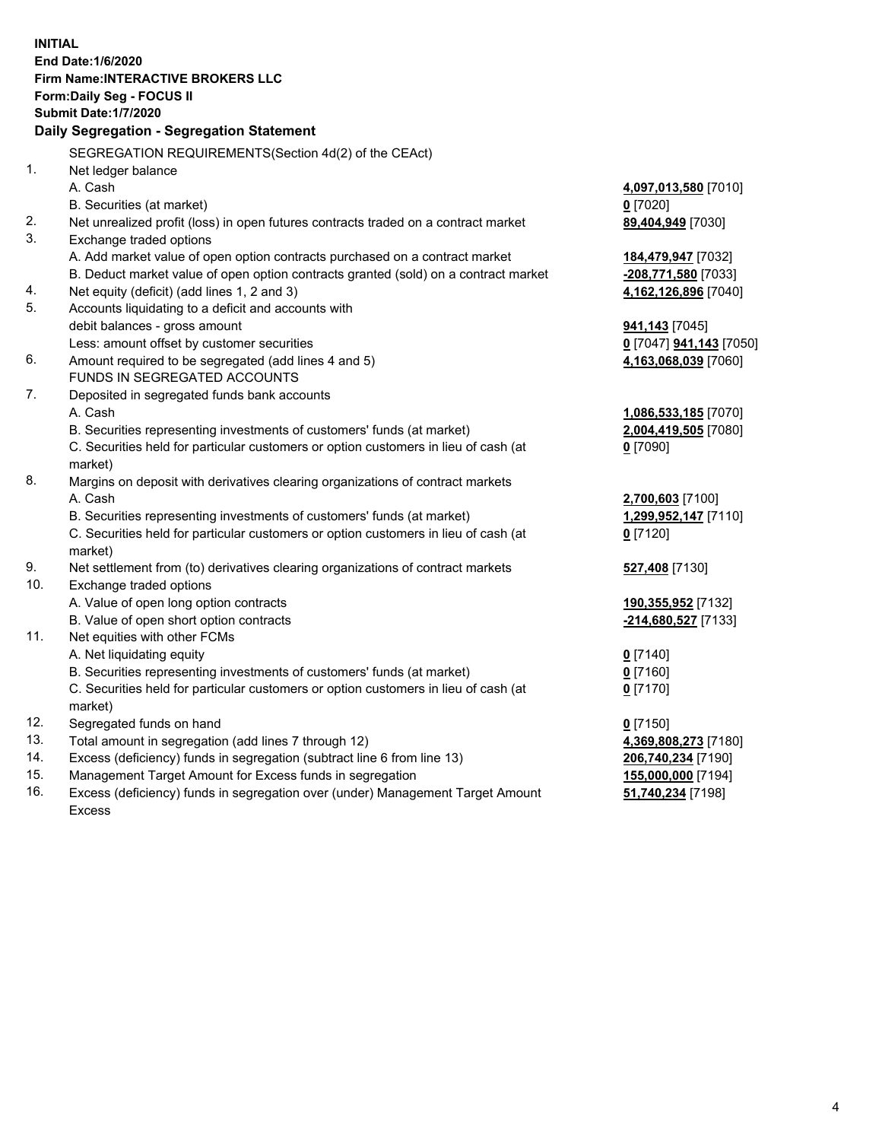**INITIAL End Date:1/6/2020 Firm Name:INTERACTIVE BROKERS LLC Form:Daily Seg - FOCUS II Submit Date:1/7/2020 Daily Segregation - Segregation Statement** SEGREGATION REQUIREMENTS(Section 4d(2) of the CEAct) 1. Net ledger balance A. Cash **4,097,013,580** [7010] B. Securities (at market) **0** [7020] 2. Net unrealized profit (loss) in open futures contracts traded on a contract market **89,404,949** [7030] 3. Exchange traded options A. Add market value of open option contracts purchased on a contract market **184,479,947** [7032] B. Deduct market value of open option contracts granted (sold) on a contract market **-208,771,580** [7033] 4. Net equity (deficit) (add lines 1, 2 and 3) **4,162,126,896** [7040] 5. Accounts liquidating to a deficit and accounts with debit balances - gross amount **941,143** [7045] Less: amount offset by customer securities **0** [7047] **941,143** [7050] 6. Amount required to be segregated (add lines 4 and 5) **4,163,068,039** [7060] FUNDS IN SEGREGATED ACCOUNTS 7. Deposited in segregated funds bank accounts A. Cash **1,086,533,185** [7070] B. Securities representing investments of customers' funds (at market) **2,004,419,505** [7080] C. Securities held for particular customers or option customers in lieu of cash (at market) **0** [7090] 8. Margins on deposit with derivatives clearing organizations of contract markets A. Cash **2,700,603** [7100] B. Securities representing investments of customers' funds (at market) **1,299,952,147** [7110] C. Securities held for particular customers or option customers in lieu of cash (at market) **0** [7120] 9. Net settlement from (to) derivatives clearing organizations of contract markets **527,408** [7130] 10. Exchange traded options A. Value of open long option contracts **190,355,952** [7132] B. Value of open short option contracts **-214,680,527** [7133] 11. Net equities with other FCMs A. Net liquidating equity **0** [7140] B. Securities representing investments of customers' funds (at market) **0** [7160] C. Securities held for particular customers or option customers in lieu of cash (at market) **0** [7170] 12. Segregated funds on hand **0** [7150] 13. Total amount in segregation (add lines 7 through 12) **4,369,808,273** [7180] 14. Excess (deficiency) funds in segregation (subtract line 6 from line 13) **206,740,234** [7190] 15. Management Target Amount for Excess funds in segregation **155,000,000** [7194] 16. Excess (deficiency) funds in segregation over (under) Management Target Amount **51,740,234** [7198]

Excess